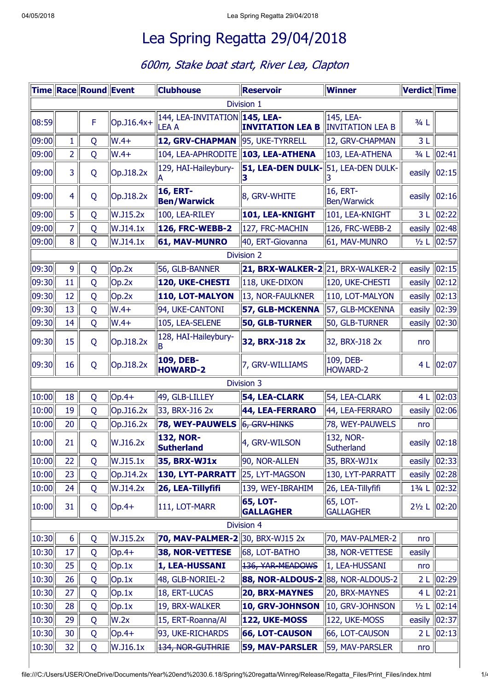## Lea Spring Regatta 29/04/2018

## 600m, Stake boat start, River Lea, Clapton

|            |                | Time Race Round Event |             | <b>Clubhouse</b>                        | <b>Reservoir</b>                     | <b>Winner</b>                        | Verdict Time  |                    |  |
|------------|----------------|-----------------------|-------------|-----------------------------------------|--------------------------------------|--------------------------------------|---------------|--------------------|--|
| Division 1 |                |                       |             |                                         |                                      |                                      |               |                    |  |
| 08:59      |                | F                     | Op. J16.4x+ | 144, LEA-INVITATION<br><b>LEA A</b>     | 145, LEA-<br><b>INVITATION LEA B</b> | 145, LEA-<br><b>INVITATION LEA B</b> | $3/4$ L       |                    |  |
| 09:00      | 1              | Q                     | $W.4+$      | <b>12, GRV-CHAPMAN</b>                  | 95, UKE-TYRRELL                      | 12, GRV-CHAPMAN                      | 3L            |                    |  |
| 09:00      | $\overline{2}$ | Q                     | $W.4+$      | 104, LEA-APHRODITE                      | 103, LEA-ATHENA                      | 103, LEA-ATHENA                      |               | 3/4 L 02:41        |  |
| 09:00      | 3              | Q                     | Op. J18.2x  | 129, HAI-Haileybury-                    | 51, LEA-DEN DULK-                    | 51, LEA-DEN DULK-                    | easily  02:15 |                    |  |
| 09:00      | $\overline{4}$ | Q                     | Op. J18.2x  | <b>16, ERT-</b><br><b>Ben/Warwick</b>   | 8, GRV-WHITE                         | 16, ERT-<br><b>Ben/Warwick</b>       | easily        | 02:16              |  |
| 09:00      | 5              | Q                     | W.J15.2x    | 100, LEA-RILEY                          | 101, LEA-KNIGHT                      | 101, LEA-KNIGHT                      |               | 3 L   02:22        |  |
| 09:00      | $\overline{7}$ | Q                     | W.J14.1x    | <b>126, FRC-WEBB-2</b>                  | 127, FRC-MACHIN                      | 126, FRC-WEBB-2                      | easily        | 02:48              |  |
| 09:00      | 8              | Q                     | W.J14.1x    | 61, MAV-MUNRO                           | 40, ERT-Giovanna                     | 61, MAV-MUNRO                        |               | 1/2 L   02:57      |  |
|            |                |                       |             |                                         | Division 2                           |                                      |               |                    |  |
| 09:30      | 9              | Q                     | Op.2x       | 56, GLB-BANNER                          | 21, BRX-WALKER-222, BRX-WALKER-2     |                                      | easily        | $\ 02:15\ $        |  |
| 09:30      | 11             | Q                     | Op.2x       | 120, UKE-CHESTI                         | 118, UKE-DIXON                       | 120, UKE-CHESTI                      | easily        | 02:12              |  |
| 09:30      | 12             | Q                     | Op.2x       | 110, LOT-MALYON                         | 13, NOR-FAULKNER                     | 110, LOT-MALYON                      | easily        | 02:13              |  |
| 09:30      | 13             | Q                     | $W.4+$      | 94, UKE-CANTONI                         | 57, GLB-MCKENNA                      | 57, GLB-MCKENNA                      | easily        | 02:39              |  |
| 09:30      | 14             | Q                     | $W.4+$      | 105, LEA-SELENE                         | 50, GLB-TURNER                       | 50, GLB-TURNER                       | easily        | 02:30              |  |
| 09:30      | 15             | Q                     | Op. J18.2x  | 128, HAI-Haileybury-                    | 32, BRX-J18 2x                       | 32, BRX-J18 2x                       | nro           |                    |  |
| 09:30      | 16             | Q                     | Op.J18.2x   | 109, DEB-<br><b>HOWARD-2</b>            | 7, GRV-WILLIAMS                      | 109, DEB-<br><b>HOWARD-2</b>         |               | 4 L   02:07        |  |
|            |                |                       |             |                                         | Division 3                           |                                      |               |                    |  |
| 10:00      | 18             | Q                     | $ Op.4+$    | 49, GLB-LILLEY                          | <b>54, LEA-CLARK</b>                 | 54, LEA-CLARK                        |               | 4 L $ 02:03 $      |  |
| 10:00      | 19             | Q                     | Op. J16.2x  | 33, BRX-J16 2x                          | 44, LEA-FERRARO                      | 44, LEA-FERRARO                      |               | easily $\ 02:06\ $ |  |
| 10:00      | 20             | Q                     | Op. J16.2x  | <b>78, WEY-PAUWELS</b>                  | 6, GRV-HINKS                         | 78, WEY-PAUWELS                      | nro           |                    |  |
| 10:00      | 21             | Q                     | W.J16.2x    | <b>132, NOR-</b><br><b>Sutherland</b>   | 4, GRV-WILSON                        | 132, NOR-<br>Sutherland              |               | easily $\ 02:18\ $ |  |
| 10:00      | 22             | Q                     | W.J15.1x    | 35, BRX-WJ1x                            | 90, NOR-ALLEN                        | 35, BRX-WJ1x                         |               | easily  02:33      |  |
| 10:00      | 23             | Q                     | Op. J14.2x  | <b>130, LYT-PARRATT</b>                 | 25, LYT-MAGSON                       | 130, LYT-PARRATT                     | easily        | 02:28              |  |
| 10:00      | 24             | Q                     | W.J14.2x    | 26, LEA-Tillyfifi                       | 139, WEY-IBRAHIM                     | 26, LEA-Tillyfifi                    | $13/4$ L      | 02:32              |  |
| 10:00      | 31             | Q                     | $ Op.4+$    | 111, LOT-MARR                           | <b>65, LOT-</b><br><b>GALLAGHER</b>  | 65, LOT-<br><b>GALLAGHER</b>         |               | 21/2 L 02:20       |  |
|            |                |                       |             |                                         | <b>Division 4</b>                    |                                      |               |                    |  |
| 10:30      | 6              | Q                     | W.J15.2x    | <b>70, MAV-PALMER-2</b> 30, BRX-WJ15 2x |                                      | 70, MAV-PALMER-2                     | nro           |                    |  |
| 10:30      | 17             | Q                     | $ Op.4+$    | 38, NOR-VETTESE                         | 68, LOT-BATHO                        | 38, NOR-VETTESE                      | easily        |                    |  |
| 10:30      | 25             | Q                     | Op.1x       | 1, LEA-HUSSANI                          | 136, YAR-MEADOWS                     | 1, LEA-HUSSANI                       | nro           |                    |  |
| 10:30      | 26             | Q                     | Op.1x       | 48, GLB-NORIEL-2                        | 88, NOR-ALDOUS-2                     | 88, NOR-ALDOUS-2                     |               | 2 L   02:29        |  |
| 10:30      | 27             | Q                     | Op.1x       | 18, ERT-LUCAS                           | <b>20, BRX-MAYNES</b>                | 20, BRX-MAYNES                       | 4L            | 02:21              |  |
| 10:30      | 28             | Q                     | Op.1x       | 19, BRX-WALKER                          | 10, GRV-JOHNSON                      | 10, GRV-JOHNSON                      | $1/2$ L       | 02:14              |  |
| 10:30      | 29             | Q                     | W.2x        | 15, ERT-Roanna/Al                       | 122, UKE-MOSS                        | 122, UKE-MOSS                        | easily        | 02:37              |  |
| 10:30      | 30             | Q                     | $ Op.4+$    | 93, UKE-RICHARDS                        | <b>66, LOT-CAUSON</b>                | 66, LOT-CAUSON                       | 2 L           | 02:13              |  |
| 10:30      | 32             | Q                     | W.J16.1x    | 134, NOR-GUTHRIE                        | <b>59, MAV-PARSLER</b>               | 59, MAV-PARSLER                      | nro           |                    |  |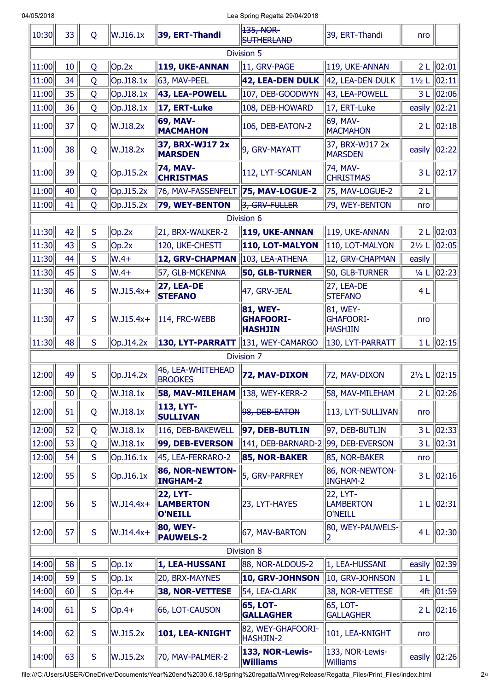04/05/2018 Lea Spring Regatta 29/04/2018

| 10:30      | 33         | Q           | W.J16.1x    | 39, ERT-Thandi                                 | 135, NOR-<br><b>SUTHERLAND</b>                        | 39, ERT-Thandi                                 | nro              |                  |  |  |
|------------|------------|-------------|-------------|------------------------------------------------|-------------------------------------------------------|------------------------------------------------|------------------|------------------|--|--|
| Division 5 |            |             |             |                                                |                                                       |                                                |                  |                  |  |  |
| 11:00      | 10         | Q           | Op.2x       | 119, UKE-ANNAN                                 | 11, GRV-PAGE                                          | 119, UKE-ANNAN                                 | 2L               | 02:01            |  |  |
| 11:00      | 34         | Q           | Op. J18.1x  | 63, MAV-PEEL                                   | 42, LEA-DEN DULK                                      | 42, LEA-DEN DULK                               | $1\frac{1}{2}$ L | 02:11            |  |  |
| 11:00      | 35         | Q           | Op. J18.1x  | 43, LEA-POWELL                                 | 107, DEB-GOODWYN                                      | 43, LEA-POWELL                                 | 3 <sub>L</sub>   | 02:06            |  |  |
| 11:00      | 36         | Q           | Op. J18.1x  | 17, ERT-Luke                                   | 108, DEB-HOWARD                                       | 17, ERT-Luke                                   | easily           | 02:21            |  |  |
| 11:00      | 37         | Q           | W.J18.2x    | 69, MAV-<br><b>MACMAHON</b>                    | 106, DEB-EATON-2                                      | 69, MAV-<br><b>MACMAHON</b>                    |                  | 2 L 02:18        |  |  |
| 11:00      | 38         | Q           | W.J18.2x    | 37, BRX-WJ17 2x<br><b>MARSDEN</b>              | 9, GRV-MAYATT                                         | 37, BRX-WJ17 2x<br><b>MARSDEN</b>              | easily           | 02:22            |  |  |
| 11:00      | 39         | Q           | Op. J15.2x  | 74, MAV-<br><b>CHRISTMAS</b>                   | 112, LYT-SCANLAN                                      | 74, MAV-<br><b>CHRISTMAS</b>                   |                  | 3 L 02:17        |  |  |
| 11:00      | 40         | Q           | Op. J15.2x  | 76, MAV-FASSENFELT                             | 75, MAV-LOGUE-2                                       | 75, MAV-LOGUE-2                                | 2L               |                  |  |  |
| 11:00      | 41         | Q           | Op.J15.2x   | 79, WEY-BENTON                                 | 3, GRV-FULLER                                         | 79, WEY-BENTON                                 | nro              |                  |  |  |
|            |            |             |             |                                                | Division 6                                            |                                                |                  |                  |  |  |
| 11:30      | 42         | S           | Op.2x       | 21, BRX-WALKER-2                               | 119, UKE-ANNAN                                        | 119, UKE-ANNAN                                 |                  | 2 L $ 02:03 $    |  |  |
| 11:30      | 43         | S           | Op.2x       | 120, UKE-CHESTI                                | 110, LOT-MALYON                                       | 110, LOT-MALYON                                | $2\frac{1}{2}$ L | 02:05            |  |  |
| 11:30      | 44         | S           | $W.4+$      | 12, GRV-CHAPMAN                                | 103, LEA-ATHENA                                       | 12, GRV-CHAPMAN                                | easily           |                  |  |  |
| 11:30      | 45         | S           | $W.4+$      | 57, GLB-MCKENNA                                | 50, GLB-TURNER                                        | 50, GLB-TURNER                                 | $1/4$ L          | 02:23            |  |  |
| 11:30      | 46         | S           | W.J15.4x+   | <b>27, LEA-DE</b><br><b>STEFANO</b>            | 47, GRV-JEAL                                          | 27, LEA-DE<br><b>STEFANO</b>                   | 4L               |                  |  |  |
| 11:30      | 47         | S           | $W.J15.4x+$ | 114, FRC-WEBB                                  | <b>81, WEY-</b><br><b>GHAFOORI-</b><br><b>HASHJIN</b> | 81, WEY-<br><b>GHAFOORI-</b><br><b>HASHJIN</b> | nro              |                  |  |  |
| 11:30      | 48         | S           | Op.J14.2x   | 130, LYT-PARRATT                               | 131, WEY-CAMARGO                                      | 130, LYT-PARRATT                               |                  | 1 L $ 02:15 $    |  |  |
|            |            |             |             |                                                | <b>Division 7</b>                                     |                                                |                  |                  |  |  |
| 12:00      | 49         | S           | Op. J14.2x  | 46, LEA-WHITEHEAD<br><b>BROOKES</b>            | 72, MAV-DIXON                                         | 72, MAV-DIXON                                  | $2\frac{1}{2}$ L | 02:15            |  |  |
| 12:00      | 50         | Q           | W.J18.1x    | <b>58, MAV-MILEHAM</b>                         | 138, WEY-KERR-2                                       | 58, MAV-MILEHAM                                |                  | 2 L 02:26        |  |  |
| 12:00      | 51         | Q           | W.J18.1x    | 113, LYT-<br><b>SULLIVAN</b>                   | 98, DEB-EATON                                         | 113, LYT-SULLIVAN                              | nro              |                  |  |  |
| 12:00      | 52         | Q           | W.J18.1x    | 116, DEB-BAKEWELL                              | 97, DEB-BUTLIN                                        | 97, DEB-BUTLIN                                 |                  | 3 L 02:33        |  |  |
| 12:00      | 53         | Q           | W.J18.1x    | 99, DEB-EVERSON                                | 141, DEB-BARNARD-2                                    | 99, DEB-EVERSON                                | 3L               | 02:31            |  |  |
| 12:00      | 54         | S           | Op.J16.1x   | 45, LEA-FERRARO-2                              | 85, NOR-BAKER                                         | 85, NOR-BAKER                                  | nro              |                  |  |  |
| 12:00      | 55         | S           | Op. J16.1x  | 86, NOR-NEWTON-<br><b>INGHAM-2</b>             | 5, GRV-PARFREY                                        | 86, NOR-NEWTON-<br><b>INGHAM-2</b>             |                  | 3 L   02:16      |  |  |
| 12:00      | 56         | S           | $W.J14.4x+$ | <b>22, LYT-</b><br><b>LAMBERTON</b><br>O'NEILL | 23, LYT-HAYES                                         | 22, LYT-<br><b>LAMBERTON</b><br><b>O'NEILL</b> | 1 <sub>L</sub>   | 02:31            |  |  |
| 12:00      | 57         | $\mathsf S$ | $W.J14.4x+$ | 80, WEY-<br><b>PAUWELS-2</b>                   | 67, MAV-BARTON                                        | 80, WEY-PAUWELS-<br>2                          |                  | 4 L 02:30        |  |  |
|            | Division 8 |             |             |                                                |                                                       |                                                |                  |                  |  |  |
| 14:00      | 58         | $\mathsf S$ | Op.1x       | 1, LEA-HUSSANI                                 | 88, NOR-ALDOUS-2                                      | 1, LEA-HUSSANI                                 | easily           | 02:39            |  |  |
| 14:00      | 59         | S           | Op.1x       | 20, BRX-MAYNES                                 | 10, GRV-JOHNSON                                       | 10, GRV-JOHNSON                                | 1 L              |                  |  |  |
| 14:00      | 60         | S           | $ Op.4+$    | 38, NOR-VETTESE                                | 54, LEA-CLARK                                         | 38, NOR-VETTESE                                |                  | 4ft   01:59      |  |  |
| 14:00      | 61         | S           | $Op.4+$     | 66, LOT-CAUSON                                 | <b>65, LOT-</b><br><b>GALLAGHER</b>                   | 65, LOT-<br><b>GALLAGHER</b>                   | 2 <sub>L</sub>   | 02:16            |  |  |
| 14:00      | 62         | S           | W.J15.2x    | 101, LEA-KNIGHT                                | 82, WEY-GHAFOORI-<br>HASHJIN-2                        | 101, LEA-KNIGHT                                | nro              |                  |  |  |
| 14:00      | 63         | S           | W.J15.2x    | 70, MAV-PALMER-2                               | 133, NOR-Lewis-<br><b>Williams</b>                    | 133, NOR-Lewis-<br><b>Williams</b>             |                  | easily $ 02:26 $ |  |  |

file:///C:/Users/USER/OneDrive/Documents/Year%20end%2030.6.18/Spring%20regatta/Winreg/Release/Regatta\_Files/Print\_Files/index.html 2/4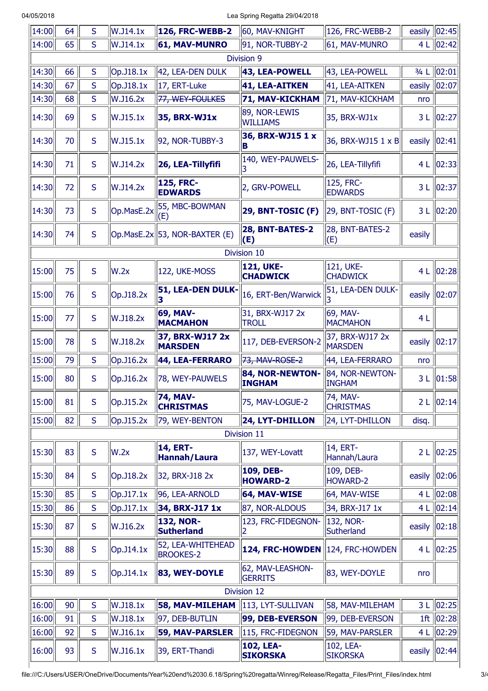04/05/2018 Lea Spring Regatta 29/04/2018

| $\sqrt{14:00}$ | 64 | S            | W.J14.1x     | <b>126, FRC-WEBB-2</b>                | 60, MAV-KNIGHT                      | 126, FRC-WEBB-2                   | easily  | 02:45 |
|----------------|----|--------------|--------------|---------------------------------------|-------------------------------------|-----------------------------------|---------|-------|
| 14:00          | 65 | S            | W.J14.1x     | <b>61, MAV-MUNRO</b>                  | 91, NOR-TUBBY-2                     | 61, MAV-MUNRO                     | 4L      | 02:42 |
|                |    |              |              |                                       | Division 9                          |                                   |         |       |
| 14:30          | 66 | S            | Op. J18.1x   | 42, LEA-DEN DULK                      | 43, LEA-POWELL                      | 43, LEA-POWELL                    | $3/4$ L | 02:01 |
| 14:30          | 67 | S            | Op. J18.1x   | 17, ERT-Luke                          | 41, LEA-AITKEN                      | 41, LEA-AITKEN                    | easily  | 02:07 |
| 14:30          | 68 | S            | W.J16.2x     | 77, WEY-FOULKES                       | <b>71, MAV-KICKHAM</b>              | 71, MAV-KICKHAM                   | nro     |       |
| 14:30          | 69 | S            | W.J15.1x     | 35, BRX-WJ1x                          | 89, NOR-LEWIS<br><b>WILLIAMS</b>    | 35, BRX-WJ1x                      | 3L      | 02:27 |
| 14:30          | 70 | S            | W.J15.1x     | 92, NOR-TUBBY-3                       | 36, BRX-WJ15 1 x<br>IВ              | 36, BRX-WJ15 1 x B                | easily  | 02:41 |
| 14:30          | 71 | S            | W.J14.2x     | 26, LEA-Tillyfifi                     | 140, WEY-PAUWELS-<br>3              | 26, LEA-Tillyfifi                 | 4 L     | 02:33 |
| 14:30          | 72 | S            | W.J14.2x     | <b>125, FRC-</b><br><b>EDWARDS</b>    | 2, GRV-POWELL                       | 125, FRC-<br><b>EDWARDS</b>       | 3L      | 02:37 |
| 14:30          | 73 | S            | Op.MasE.2x   | 55, MBC-BOWMAN<br>(E)                 | 29, BNT-TOSIC (F)                   | 29, BNT-TOSIC (F)                 | 3L      | 02:20 |
| 14:30          | 74 | S            |              | Op.MasE.2x 53, NOR-BAXTER (E)         | 28, BNT-BATES-2<br>(E)              | 28, BNT-BATES-2<br>(E)            | easily  |       |
|                |    |              |              |                                       | Division 10                         |                                   |         |       |
| 15:00          | 75 | S            | W.2x         | 122, UKE-MOSS                         | <b>121, UKE-</b><br><b>CHADWICK</b> | 121, UKE-<br><b>CHADWICK</b>      | 4L      | 02:28 |
| 15:00          | 76 | S            | Op. J18.2x   | 51, LEA-DEN DULK-                     | 16, ERT-Ben/Warwick                 | 51, LEA-DEN DULK-                 | easily  | 02:07 |
| 15:00          | 77 | S            | W.J18.2x     | 69, MAV-<br><b>MACMAHON</b>           | 31, BRX-WJ17 2x<br><b>TROLL</b>     | 69, MAV-<br><b>MACMAHON</b>       | 4L      |       |
| 15:00          | 78 | S            | W.J18.2x     | 37, BRX-WJ17 2x<br><b>MARSDEN</b>     | 117, DEB-EVERSON-2                  | 37, BRX-WJ17 2x<br><b>MARSDEN</b> | easily  | 02:17 |
| 15:00          | 79 | S            | Op. J16.2x   | 44, LEA-FERRARO                       | 73, MAV-ROSE-2                      | 44, LEA-FERRARO                   | nro     |       |
| 15:00          | 80 | S            | Op. J16.2x   | 78, WEY-PAUWELS                       | 84, NOR-NEWTON-<br><b>INGHAM</b>    | 84, NOR-NEWTON-<br><b>INGHAM</b>  | 3L      | 01:58 |
| 15:00          | 81 | S            | Op. J15.2x   | <b>74, MAV-</b><br><b>CHRISTMAS</b>   | 75, MAV-LOGUE-2                     | 74, MAV-<br><b>CHRISTMAS</b>      | 2L      | 02:14 |
| 15:00          | 82 | S            | Op. J15.2x   | 79, WEY-BENTON                        | 24, LYT-DHILLON                     | 24, LYT-DHILLON                   | disq.   |       |
|                |    |              |              |                                       | Division 11                         |                                   |         |       |
| 15:30          | 83 | S            | W.2x         | <b>14, ERT-</b><br>Hannah/Laura       | 137, WEY-Lovatt                     | 14, ERT-<br>Hannah/Laura          | 2L      | 02:25 |
| 15:30          | 84 | S            | Op.J18.2x    | 32, BRX-J18 2x                        | 109, DEB-<br><b>HOWARD-2</b>        | 109, DEB-<br>HOWARD-2             | easily  | 02:06 |
| 15:30          | 85 | S            | $Op.$ J17.1x | 96, LEA-ARNOLD                        | 64, MAV-WISE                        | 64, MAV-WISE                      | 4L      | 02:08 |
| 15:30          | 86 | S            | Op. J17.1x   | 34, BRX-J17 1x                        | 87, NOR-ALDOUS                      | 34, BRX-J17 1x                    | 4L      | 02:14 |
| 15:30          | 87 | S            | W.J16.2x     | <b>132, NOR-</b><br><b>Sutherland</b> | 123, FRC-FIDEGNON-<br>2             | 132, NOR-<br>Sutherland           | easily  | 02:18 |
| 15:30          | 88 | $\mathsf{S}$ | Op.J14.1x    | 52, LEA-WHITEHEAD<br><b>BROOKES-2</b> | <b>124, FRC-HOWDEN</b>              | 124, FRC-HOWDEN                   | 4L      | 02:25 |
| 15:30          | 89 | S            | $Op.$ J14.1x | 83, WEY-DOYLE                         | 62, MAV-LEASHON-<br><b>GERRITS</b>  | 83, WEY-DOYLE                     | nro     |       |
|                |    |              |              |                                       | Division 12                         |                                   |         |       |
| 16:00          | 90 | $\mathsf S$  | W.J18.1x     | <b>58, MAV-MILEHAM</b>                | 113, LYT-SULLIVAN                   | 58, MAV-MILEHAM                   | 3L      | 02:25 |
| 16:00          | 91 | S            | W.J18.1x     | 97, DEB-BUTLIN                        | 99, DEB-EVERSON                     | 99, DEB-EVERSON                   | 1ft     | 02:28 |
| 16:00          | 92 | S            | W.J16.1x     | <b>59, MAV-PARSLER</b>                | 115, FRC-FIDEGNON                   | 59, MAV-PARSLER                   | 4L      | 02:29 |
| 16:00          | 93 | S            | W.J16.1x     | 39, ERT-Thandi                        | 102, LEA-<br><b>SIKORSKA</b>        | 102, LEA-<br><b>SIKORSKA</b>      | easily  | 02:44 |

Ί